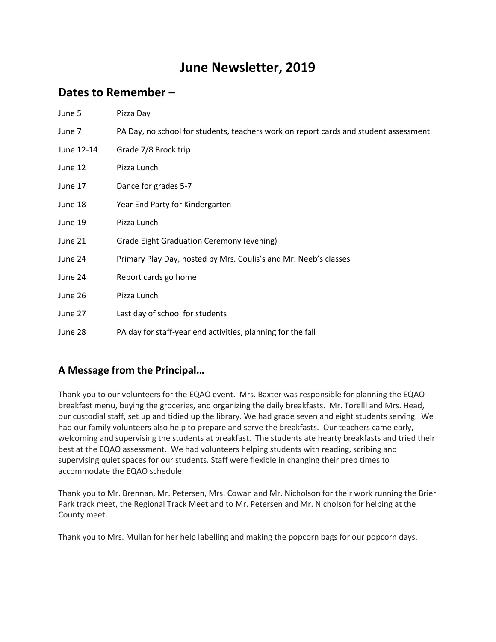## **June Newsletter, 2019**

## **Dates to Remember –**

| June 5     | Pizza Day                                                                            |
|------------|--------------------------------------------------------------------------------------|
| June 7     | PA Day, no school for students, teachers work on report cards and student assessment |
| June 12-14 | Grade 7/8 Brock trip                                                                 |
| June 12    | Pizza Lunch                                                                          |
| June 17    | Dance for grades 5-7                                                                 |
| June 18    | Year End Party for Kindergarten                                                      |
| June 19    | Pizza Lunch                                                                          |
| June 21    | <b>Grade Eight Graduation Ceremony (evening)</b>                                     |
| June 24    | Primary Play Day, hosted by Mrs. Coulis's and Mr. Neeb's classes                     |
| June 24    | Report cards go home                                                                 |
| June 26    | Pizza Lunch                                                                          |
| June 27    | Last day of school for students                                                      |
| June 28    | PA day for staff-year end activities, planning for the fall                          |

### **A Message from the Principal…**

Thank you to our volunteers for the EQAO event. Mrs. Baxter was responsible for planning the EQAO breakfast menu, buying the groceries, and organizing the daily breakfasts. Mr. Torelli and Mrs. Head, our custodial staff, set up and tidied up the library. We had grade seven and eight students serving. We had our family volunteers also help to prepare and serve the breakfasts. Our teachers came early, welcoming and supervising the students at breakfast. The students ate hearty breakfasts and tried their best at the EQAO assessment. We had volunteers helping students with reading, scribing and supervising quiet spaces for our students. Staff were flexible in changing their prep times to accommodate the EQAO schedule.

Thank you to Mr. Brennan, Mr. Petersen, Mrs. Cowan and Mr. Nicholson for their work running the Brier Park track meet, the Regional Track Meet and to Mr. Petersen and Mr. Nicholson for helping at the County meet.

Thank you to Mrs. Mullan for her help labelling and making the popcorn bags for our popcorn days.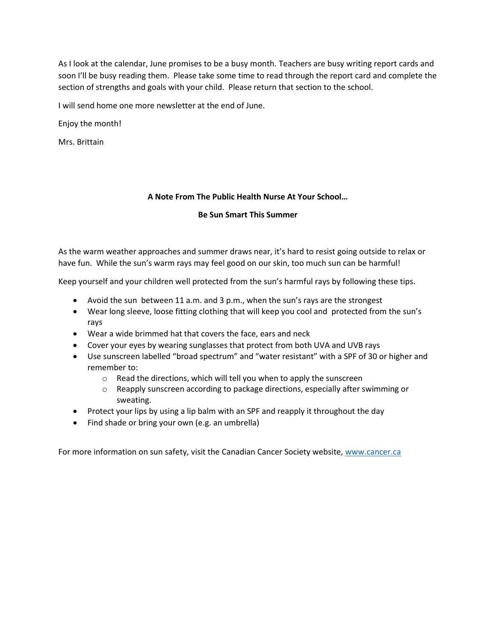As I look at the calendar, June promises to be a busy month. Teachers are busy writing report cards and soon I'll be busy reading them. Please take some time to read through the report card and complete the section of strengths and goals with your child. Please return that section to the school.

I will send home one more newsletter at the end of June.

Enjoy the month!

Mrs. Brittain

#### **A Note From The Public Health Nurse At Your School…**

#### **Be Sun Smart This Summer**

As the warm weather approaches and summer draws near, it's hard to resist going outside to relax or have fun. While the sun's warm rays may feel good on our skin, too much sun can be harmful!

Keep yourself and your children well protected from the sun's harmful rays by following these tips.

- Avoid the sun between 11 a.m. and 3 p.m., when the sun's rays are the strongest
- Wear long sleeve, loose fitting clothing that will keep you cool and protected from the sun's rays
- Wear a wide brimmed hat that covers the face, ears and neck
- Cover your eyes by wearing sunglasses that protect from both UVA and UVB rays
- Use sunscreen labelled "broad spectrum" and "water resistant" with a SPF of 30 or higher and remember to:
	- o Read the directions, which will tell you when to apply the sunscreen
	- o Reapply sunscreen according to package directions, especially after swimming or sweating.
- Protect your lips by using a lip balm with an SPF and reapply it throughout the day
- Find shade or bring your own (e.g. an umbrella)

For more information on sun safety, visit the Canadian Cancer Society website, [www.cancer.ca](http://www.cancer.ca/)